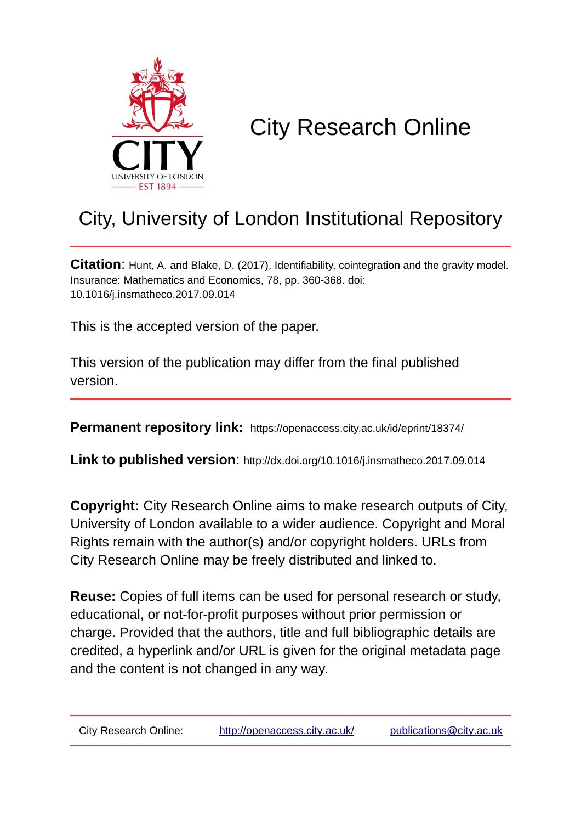

# City Research Online

## City, University of London Institutional Repository

**Citation**: Hunt, A. and Blake, D. (2017). Identifiability, cointegration and the gravity model. Insurance: Mathematics and Economics, 78, pp. 360-368. doi: 10.1016/j.insmatheco.2017.09.014

This is the accepted version of the paper.

This version of the publication may differ from the final published version.

**Permanent repository link:** https://openaccess.city.ac.uk/id/eprint/18374/

**Link to published version**: http://dx.doi.org/10.1016/j.insmatheco.2017.09.014

**Copyright:** City Research Online aims to make research outputs of City, University of London available to a wider audience. Copyright and Moral Rights remain with the author(s) and/or copyright holders. URLs from City Research Online may be freely distributed and linked to.

**Reuse:** Copies of full items can be used for personal research or study, educational, or not-for-profit purposes without prior permission or charge. Provided that the authors, title and full bibliographic details are credited, a hyperlink and/or URL is given for the original metadata page and the content is not changed in any way.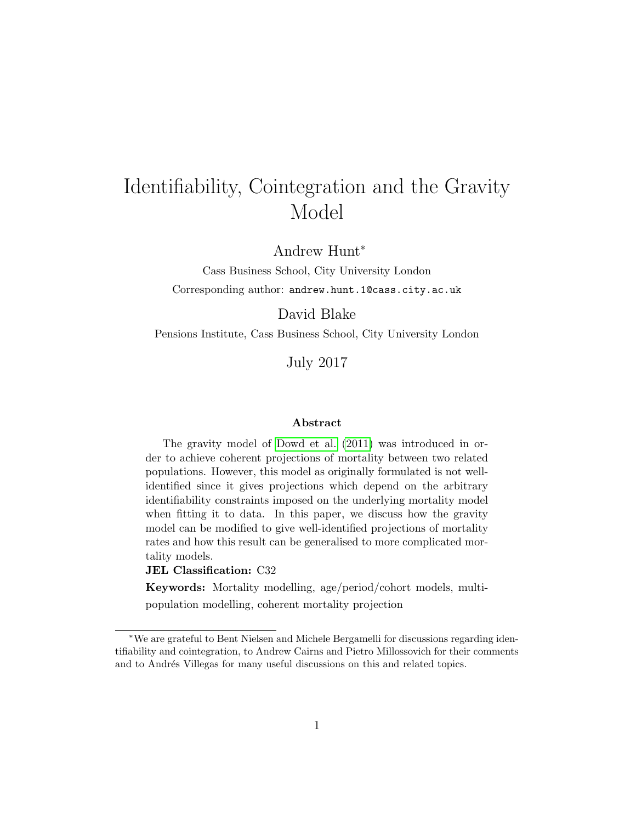## Identifiability, Cointegration and the Gravity Model

Andrew Hunt<sup>∗</sup>

Cass Business School, City University London Corresponding author: andrew.hunt.1@cass.city.ac.uk

David Blake

Pensions Institute, Cass Business School, City University London

July 2017

#### Abstract

The gravity model of [Dowd et al.](#page-25-0) [\(2011\)](#page-25-0) was introduced in order to achieve coherent projections of mortality between two related populations. However, this model as originally formulated is not wellidentified since it gives projections which depend on the arbitrary identifiability constraints imposed on the underlying mortality model when fitting it to data. In this paper, we discuss how the gravity model can be modified to give well-identified projections of mortality rates and how this result can be generalised to more complicated mortality models.

#### JEL Classification: C32

Keywords: Mortality modelling, age/period/cohort models, multipopulation modelling, coherent mortality projection

<sup>∗</sup>We are grateful to Bent Nielsen and Michele Bergamelli for discussions regarding identifiability and cointegration, to Andrew Cairns and Pietro Millossovich for their comments and to Andrés Villegas for many useful discussions on this and related topics.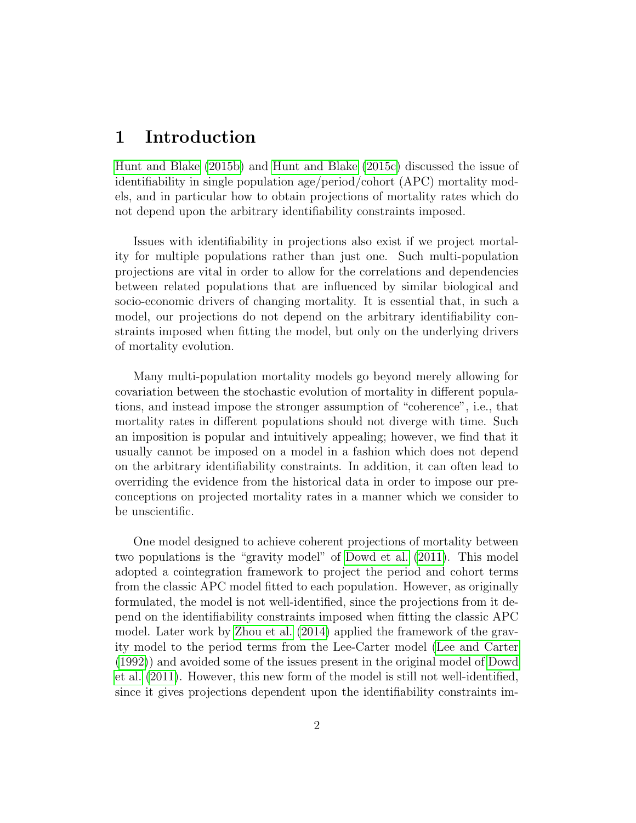## 1 Introduction

[Hunt and Blake \(2015b\)](#page-26-0) and [Hunt and Blake \(2015c\)](#page-26-1) discussed the issue of identifiability in single population age/period/cohort (APC) mortality models, and in particular how to obtain projections of mortality rates which do not depend upon the arbitrary identifiability constraints imposed.

Issues with identifiability in projections also exist if we project mortality for multiple populations rather than just one. Such multi-population projections are vital in order to allow for the correlations and dependencies between related populations that are influenced by similar biological and socio-economic drivers of changing mortality. It is essential that, in such a model, our projections do not depend on the arbitrary identifiability constraints imposed when fitting the model, but only on the underlying drivers of mortality evolution.

Many multi-population mortality models go beyond merely allowing for covariation between the stochastic evolution of mortality in different populations, and instead impose the stronger assumption of "coherence", i.e., that mortality rates in different populations should not diverge with time. Such an imposition is popular and intuitively appealing; however, we find that it usually cannot be imposed on a model in a fashion which does not depend on the arbitrary identifiability constraints. In addition, it can often lead to overriding the evidence from the historical data in order to impose our preconceptions on projected mortality rates in a manner which we consider to be unscientific.

One model designed to achieve coherent projections of mortality between two populations is the "gravity model" of [Dowd et al. \(2011\)](#page-25-0). This model adopted a cointegration framework to project the period and cohort terms from the classic APC model fitted to each population. However, as originally formulated, the model is not well-identified, since the projections from it depend on the identifiability constraints imposed when fitting the classic APC model. Later work by [Zhou et al. \(2014\)](#page-27-0) applied the framework of the gravity model to the period terms from the Lee-Carter model [\(Lee and Carter](#page-26-2) [\(1992\)](#page-26-2)) and avoided some of the issues present in the original model of [Dowd](#page-25-0) [et al. \(2011\)](#page-25-0). However, this new form of the model is still not well-identified, since it gives projections dependent upon the identifiability constraints im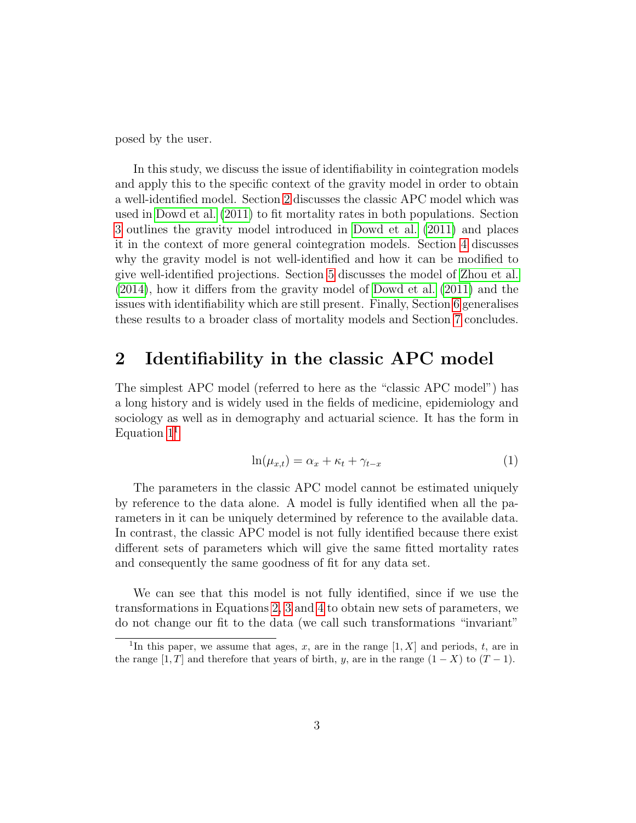posed by the user.

In this study, we discuss the issue of identifiability in cointegration models and apply this to the specific context of the gravity model in order to obtain a well-identified model. Section [2](#page-3-0) discusses the classic APC model which was used in [Dowd et al. \(2011\)](#page-25-0) to fit mortality rates in both populations. Section [3](#page-5-0) outlines the gravity model introduced in [Dowd et al. \(2011\)](#page-25-0) and places it in the context of more general cointegration models. Section [4](#page-7-0) discusses why the gravity model is not well-identified and how it can be modified to give well-identified projections. Section [5](#page-20-0) discusses the model of [Zhou et al.](#page-27-0) [\(2014\)](#page-27-0), how it differs from the gravity model of [Dowd et al. \(2011\)](#page-25-0) and the issues with identifiability which are still present. Finally, Section [6](#page-23-0) generalises these results to a broader class of mortality models and Section [7](#page-24-0) concludes.

## <span id="page-3-0"></span>2 Identifiability in the classic APC model

The simplest APC model (referred to here as the "classic APC model") has a long history and is widely used in the fields of medicine, epidemiology and sociology as well as in demography and actuarial science. It has the form in Equation  $1<sup>1</sup>$  $1<sup>1</sup>$ 

<span id="page-3-1"></span>
$$
\ln(\mu_{x,t}) = \alpha_x + \kappa_t + \gamma_{t-x} \tag{1}
$$

The parameters in the classic APC model cannot be estimated uniquely by reference to the data alone. A model is fully identified when all the parameters in it can be uniquely determined by reference to the available data. In contrast, the classic APC model is not fully identified because there exist different sets of parameters which will give the same fitted mortality rates and consequently the same goodness of fit for any data set.

We can see that this model is not fully identified, since if we use the transformations in Equations [2,](#page-4-0) [3](#page-4-1) and [4](#page-4-2) to obtain new sets of parameters, we do not change our fit to the data (we call such transformations "invariant"

<span id="page-3-2"></span><sup>&</sup>lt;sup>1</sup>In this paper, we assume that ages, x, are in the range  $[1, X]$  and periods, t, are in the range  $[1, T]$  and therefore that years of birth, y, are in the range  $(1 - X)$  to  $(T - 1)$ .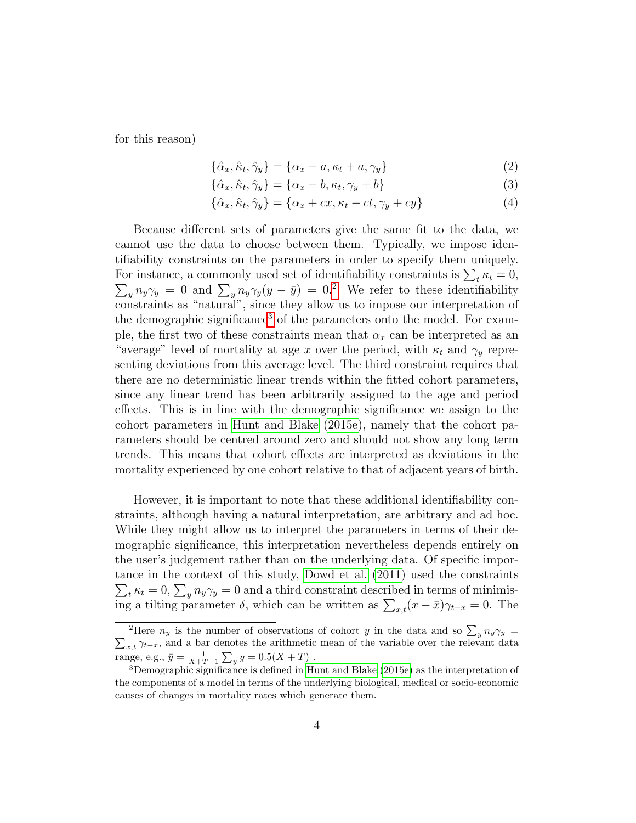for this reason)

<span id="page-4-0"></span>
$$
\{\hat{\alpha}_x, \hat{\kappa}_t, \hat{\gamma}_y\} = \{\alpha_x - a, \kappa_t + a, \gamma_y\}
$$
\n(2)

<span id="page-4-1"></span>
$$
\{\hat{\alpha}_x, \hat{\kappa}_t, \hat{\gamma}_y\} = \{\alpha_x - b, \kappa_t, \gamma_y + b\}
$$
\n(3)

<span id="page-4-2"></span>
$$
\{\hat{\alpha}_x, \hat{\kappa}_t, \hat{\gamma}_y\} = \{\alpha_x + cx, \kappa_t - ct, \gamma_y + cy\}
$$
\n(4)

Because different sets of parameters give the same fit to the data, we cannot use the data to choose between them. Typically, we impose identifiability constraints on the parameters in order to specify them uniquely. For instance, a commonly used set of identifiability constraints is  $\sum_t \kappa_t = 0$ ,  $\sum_{y} n_y \gamma_y = 0$  and  $\sum_{y} n_y \gamma_y (y - \bar{y}) = 0$ .<sup>[2](#page-4-3)</sup> We refer to these identifiability constraints as "natural", since they allow us to impose our interpretation of the demographic significance<sup>[3](#page-4-4)</sup> of the parameters onto the model. For example, the first two of these constraints mean that  $\alpha_x$  can be interpreted as an "average" level of mortality at age x over the period, with  $\kappa_t$  and  $\gamma_y$  representing deviations from this average level. The third constraint requires that there are no deterministic linear trends within the fitted cohort parameters, since any linear trend has been arbitrarily assigned to the age and period effects. This is in line with the demographic significance we assign to the cohort parameters in [Hunt and Blake \(2015e\)](#page-26-3), namely that the cohort parameters should be centred around zero and should not show any long term trends. This means that cohort effects are interpreted as deviations in the mortality experienced by one cohort relative to that of adjacent years of birth.

However, it is important to note that these additional identifiability constraints, although having a natural interpretation, are arbitrary and ad hoc. While they might allow us to interpret the parameters in terms of their demographic significance, this interpretation nevertheless depends entirely on the user's judgement rather than on the underlying data. Of specific importance in the context of this study, [Dowd et al. \(2011\)](#page-25-0) used the constraints  $\sum_{t} \kappa_t = 0$ ,  $\sum_{y} n_y \gamma_y = 0$  and a third constraint described in terms of minimising a tilting parameter  $\delta$ , which can be written as  $\sum_{x,t}(x-\bar{x})\gamma_{t-x}=0$ . The

<span id="page-4-3"></span><sup>&</sup>lt;sup>2</sup>Here  $n_y$  is the number of observations of cohort y in the data and so  $\sum_y n_y \gamma_y =$ <br> $\sum_{x} \gamma_{t-x}$ , and a bar denotes the arithmetic mean of the variable over the relevant data  $x, t \gamma_{t-x}$ , and a bar denotes the arithmetic mean of the variable over the relevant data range, e.g.,  $\bar{y} = \frac{1}{X+T-1} \sum_{y} y = 0.5(X+T)$ .

<span id="page-4-4"></span><sup>3</sup>Demographic significance is defined in [Hunt and Blake](#page-26-3) [\(2015e\)](#page-26-3) as the interpretation of the components of a model in terms of the underlying biological, medical or socio-economic causes of changes in mortality rates which generate them.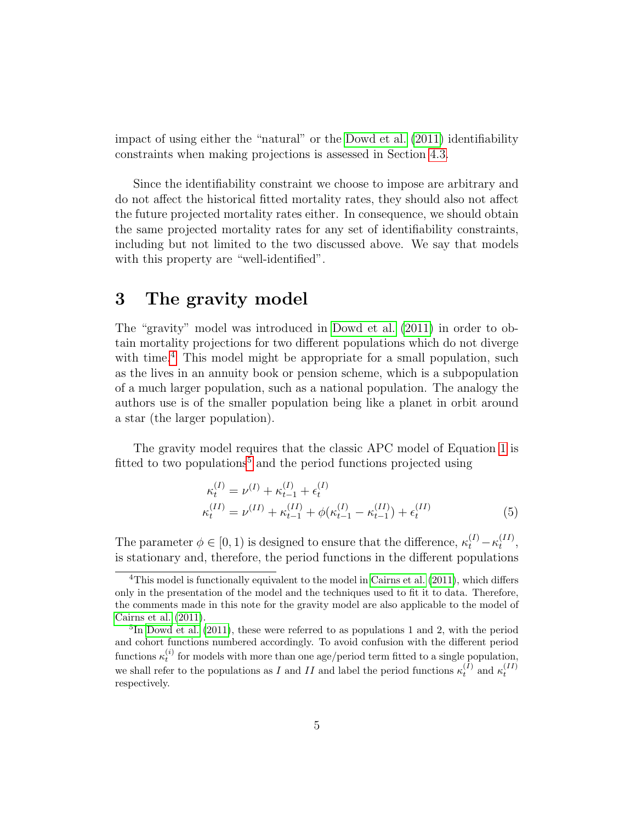impact of using either the "natural" or the [Dowd et al. \(2011\)](#page-25-0) identifiability constraints when making projections is assessed in Section [4.3.](#page-10-0)

Since the identifiability constraint we choose to impose are arbitrary and do not affect the historical fitted mortality rates, they should also not affect the future projected mortality rates either. In consequence, we should obtain the same projected mortality rates for any set of identifiability constraints, including but not limited to the two discussed above. We say that models with this property are "well-identified".

## <span id="page-5-0"></span>3 The gravity model

The "gravity" model was introduced in [Dowd et al. \(2011\)](#page-25-0) in order to obtain mortality projections for two different populations which do not diverge with time.<sup>[4](#page-5-1)</sup> This model might be appropriate for a small population, such as the lives in an annuity book or pension scheme, which is a subpopulation of a much larger population, such as a national population. The analogy the authors use is of the smaller population being like a planet in orbit around a star (the larger population).

The gravity model requires that the classic APC model of Equation [1](#page-3-1) is fitted to two populations<sup>[5](#page-5-2)</sup> and the period functions projected using

<span id="page-5-3"></span>
$$
\kappa_t^{(I)} = \nu^{(I)} + \kappa_{t-1}^{(I)} + \epsilon_t^{(I)}
$$
\n
$$
\kappa_t^{(II)} = \nu^{(II)} + \kappa_{t-1}^{(II)} + \phi(\kappa_{t-1}^{(I)} - \kappa_{t-1}^{(II)}) + \epsilon_t^{(II)}
$$
\n(5)

The parameter  $\phi \in [0, 1)$  is designed to ensure that the difference,  $\kappa_t^{(I)} - \kappa_t^{(II)}$  $\binom{II}{t}$ is stationary and, therefore, the period functions in the different populations

<span id="page-5-1"></span><sup>&</sup>lt;sup>4</sup>This model is functionally equivalent to the model in [Cairns et al.](#page-25-1) [\(2011\)](#page-25-1), which differs only in the presentation of the model and the techniques used to fit it to data. Therefore, the comments made in this note for the gravity model are also applicable to the model of [Cairns et al.](#page-25-1) [\(2011\)](#page-25-1).

<span id="page-5-2"></span><sup>5</sup> In [Dowd et al.](#page-25-0) [\(2011\)](#page-25-0), these were referred to as populations 1 and 2, with the period and cohort functions numbered accordingly. To avoid confusion with the different period functions  $\kappa_t^{(i)}$  for models with more than one age/period term fitted to a single population, we shall refer to the populations as I and II and label the period functions  $\kappa_t^{(I)}$  and  $\kappa_t^{(II)}$ respectively.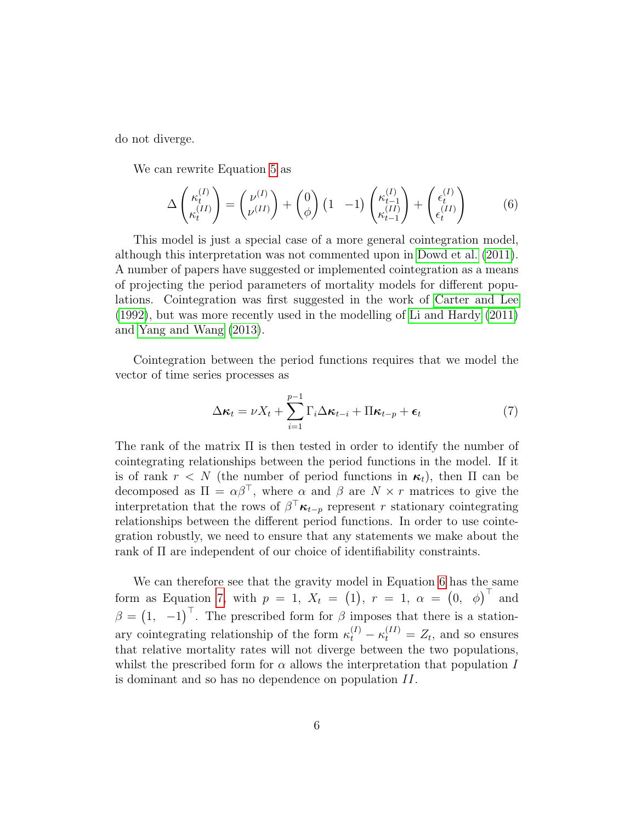do not diverge.

We can rewrite Equation [5](#page-5-3) as

<span id="page-6-0"></span>
$$
\Delta \begin{pmatrix} \kappa_t^{(I)} \\ \kappa_t^{(II)} \end{pmatrix} = \begin{pmatrix} \nu^{(I)} \\ \nu^{(II)} \end{pmatrix} + \begin{pmatrix} 0 \\ \phi \end{pmatrix} \begin{pmatrix} 1 & -1 \end{pmatrix} \begin{pmatrix} \kappa_{t-1}^{(I)} \\ \kappa_{t-1}^{(II)} \end{pmatrix} + \begin{pmatrix} \epsilon_t^{(I)} \\ \epsilon_t^{(II)} \end{pmatrix} \tag{6}
$$

This model is just a special case of a more general cointegration model, although this interpretation was not commented upon in [Dowd et al. \(2011\)](#page-25-0). A number of papers have suggested or implemented cointegration as a means of projecting the period parameters of mortality models for different populations. Cointegration was first suggested in the work of [Carter and Lee](#page-25-2) [\(1992\)](#page-25-2), but was more recently used in the modelling of [Li and Hardy \(2011\)](#page-26-4) and [Yang and Wang \(2013\)](#page-27-1).

Cointegration between the period functions requires that we model the vector of time series processes as

<span id="page-6-1"></span>
$$
\Delta \kappa_t = \nu X_t + \sum_{i=1}^{p-1} \Gamma_i \Delta \kappa_{t-i} + \Pi \kappa_{t-p} + \epsilon_t \tag{7}
$$

The rank of the matrix  $\Pi$  is then tested in order to identify the number of cointegrating relationships between the period functions in the model. If it is of rank  $r < N$  (the number of period functions in  $\kappa_t$ ), then  $\Pi$  can be decomposed as  $\Pi = \alpha \beta^{\top}$ , where  $\alpha$  and  $\beta$  are  $N \times r$  matrices to give the interpretation that the rows of  $\beta^{\top}\kappa_{t-p}$  represent r stationary cointegrating relationships between the different period functions. In order to use cointegration robustly, we need to ensure that any statements we make about the rank of Π are independent of our choice of identifiability constraints.

We can therefore see that the gravity model in Equation [6](#page-6-0) has the same form as Equation [7,](#page-6-1) with  $p = 1$ ,  $X_t = (1)$ ,  $r = 1$ ,  $\alpha = (0, \phi)^\top$  and  $\beta = (1, -1)^{\top}$ . The prescribed form for  $\beta$  imposes that there is a stationary cointegrating relationship of the form  $\kappa_t^{(I)} - \kappa_t^{(II)} = Z_t$ , and so ensures that relative mortality rates will not diverge between the two populations, whilst the prescribed form for  $\alpha$  allows the interpretation that population I is dominant and so has no dependence on population II.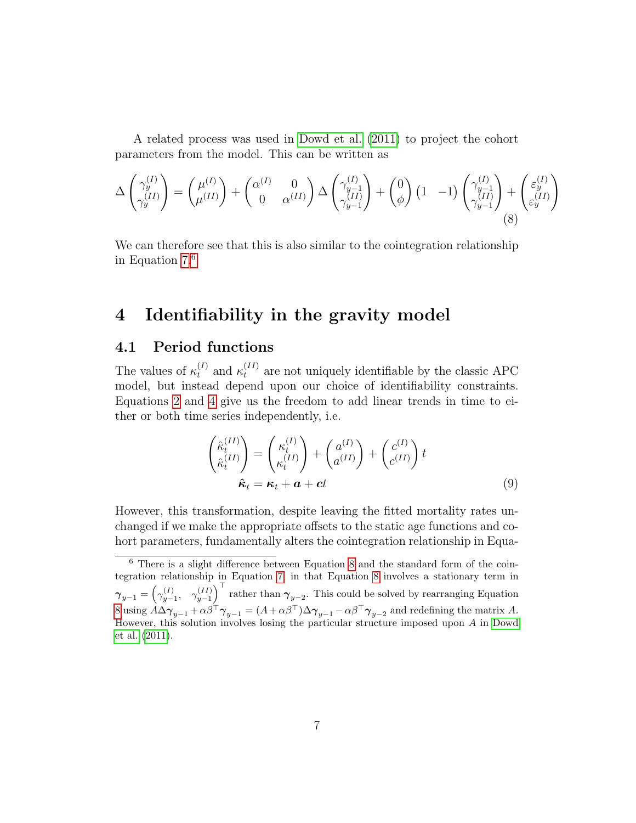A related process was used in [Dowd et al. \(2011\)](#page-25-0) to project the cohort parameters from the model. This can be written as

$$
\Delta \begin{pmatrix} \gamma_y^{(I)} \\ \gamma_y^{(II)} \end{pmatrix} = \begin{pmatrix} \mu^{(I)} \\ \mu^{(II)} \end{pmatrix} + \begin{pmatrix} \alpha^{(I)} & 0 \\ 0 & \alpha^{(II)} \end{pmatrix} \Delta \begin{pmatrix} \gamma_{y-1}^{(I)} \\ \gamma_{y-1}^{(II)} \end{pmatrix} + \begin{pmatrix} 0 \\ \phi \end{pmatrix} \begin{pmatrix} 1 & -1 \end{pmatrix} \begin{pmatrix} \gamma_{y-1}^{(I)} \\ \gamma_{y-1}^{(II)} \end{pmatrix} + \begin{pmatrix} \varepsilon_y^{(I)} \\ \varepsilon_y^{(II)} \end{pmatrix}
$$
\n(8)

We can therefore see that this is also similar to the cointegration relationship in Equation [7.](#page-6-1)[6](#page-7-1)

## <span id="page-7-0"></span>4 Identifiability in the gravity model

#### 4.1 Period functions

The values of  $\kappa_t^{(I)}$  and  $\kappa_t^{(II)}$  are not uniquely identifiable by the classic APC model, but instead depend upon our choice of identifiability constraints. Equations [2](#page-4-0) and [4](#page-4-2) give us the freedom to add linear trends in time to either or both time series independently, i.e.

<span id="page-7-3"></span><span id="page-7-2"></span>
$$
\begin{pmatrix}\n\hat{\kappa}_t^{(II)} \\
\hat{\kappa}_t^{(II)}\n\end{pmatrix} = \begin{pmatrix}\n\kappa_t^{(I)} \\
\kappa_t^{(II)}\n\end{pmatrix} + \begin{pmatrix}\na^{(I)} \\
a^{(II)}\n\end{pmatrix} + \begin{pmatrix}\nc^{(I)} \\
c^{(II)}\n\end{pmatrix} t
$$
\n
$$
\hat{\kappa}_t = \kappa_t + a + ct
$$
\n(9)

However, this transformation, despite leaving the fitted mortality rates unchanged if we make the appropriate offsets to the static age functions and cohort parameters, fundamentally alters the cointegration relationship in Equa-

<span id="page-7-1"></span><sup>6</sup> There is a slight difference between Equation [8](#page-7-2) and the standard form of the cointegration relationship in Equation [7,](#page-6-1) in that Equation [8](#page-7-2) involves a stationary term in  $\gamma_{y-1} = \begin{pmatrix} \gamma_{y-1}^{(I)}, & \gamma_{y-1}^{(II)} \end{pmatrix}^{\top}$  rather than  $\gamma_{y-2}$ . This could be solved by rearranging Equation [8](#page-7-2) using  $A\Delta\gamma_{y-1} + \alpha\beta^{\top}\gamma_{y-1} = (A + \alpha\beta^{\top})\Delta\gamma_{y-1} - \alpha\beta^{\top}\gamma_{y-2}$  and redefining the matrix A. However, this solution involves losing the particular structure imposed upon A in [Dowd](#page-25-0) [et al.](#page-25-0) [\(2011\)](#page-25-0).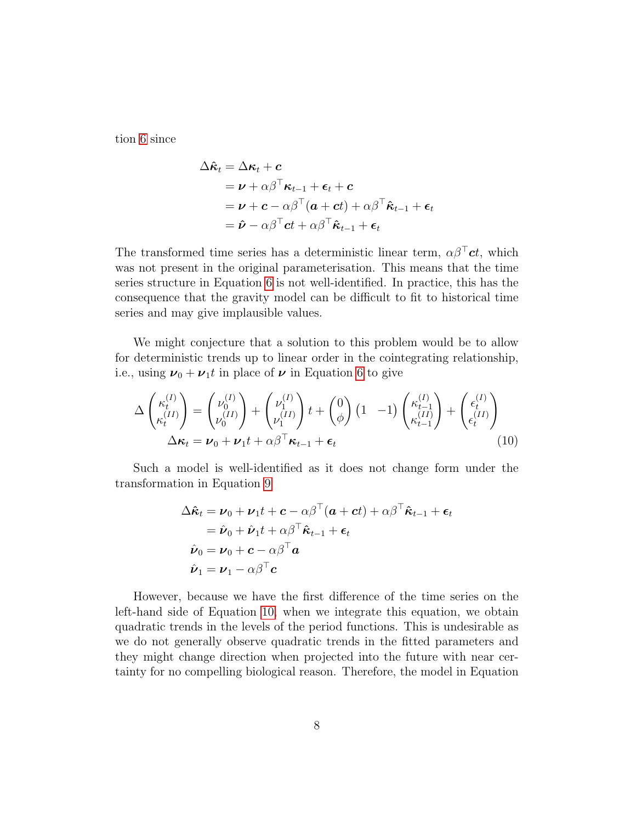tion [6](#page-6-0) since

$$
\Delta \hat{\boldsymbol{\kappa}}_t = \Delta \boldsymbol{\kappa}_t + \boldsymbol{c}
$$
\n
$$
= \boldsymbol{\nu} + \alpha \beta^\top \boldsymbol{\kappa}_{t-1} + \boldsymbol{\epsilon}_t + \boldsymbol{c}
$$
\n
$$
= \boldsymbol{\nu} + \boldsymbol{c} - \alpha \beta^\top (\boldsymbol{a} + \boldsymbol{c} t) + \alpha \beta^\top \hat{\boldsymbol{\kappa}}_{t-1} + \boldsymbol{\epsilon}_t
$$
\n
$$
= \hat{\boldsymbol{\nu}} - \alpha \beta^\top \boldsymbol{c} t + \alpha \beta^\top \hat{\boldsymbol{\kappa}}_{t-1} + \boldsymbol{\epsilon}_t
$$

The transformed time series has a deterministic linear term,  $\alpha \beta^{\top} ct$ , which was not present in the original parameterisation. This means that the time series structure in Equation [6](#page-6-0) is not well-identified. In practice, this has the consequence that the gravity model can be difficult to fit to historical time series and may give implausible values.

We might conjecture that a solution to this problem would be to allow for deterministic trends up to linear order in the cointegrating relationship, i.e., using  $v_0 + v_1t$  in place of  $\nu$  in Equation [6](#page-6-0) to give

$$
\Delta \begin{pmatrix} \kappa_t^{(I)} \\ \kappa_t^{(II)} \end{pmatrix} = \begin{pmatrix} \nu_0^{(I)} \\ \nu_0^{(II)} \end{pmatrix} + \begin{pmatrix} \nu_1^{(I)} \\ \nu_1^{(II)} \end{pmatrix} t + \begin{pmatrix} 0 \\ \phi \end{pmatrix} (1 - 1) \begin{pmatrix} \kappa_{t-1}^{(I)} \\ \kappa_{t-1}^{(II)} \end{pmatrix} + \begin{pmatrix} \epsilon_t^{(I)} \\ \epsilon_t^{(II)} \end{pmatrix} \n\Delta \kappa_t = \nu_0 + \nu_1 t + \alpha \beta^\top \kappa_{t-1} + \epsilon_t
$$
\n(10)

Such a model is well-identified as it does not change form under the transformation in Equation [9](#page-7-3)

<span id="page-8-0"></span>
$$
\Delta \hat{\boldsymbol{\kappa}}_t = \boldsymbol{\nu}_0 + \boldsymbol{\nu}_1 t + \boldsymbol{c} - \alpha \beta^\top (\boldsymbol{a} + \boldsymbol{c} t) + \alpha \beta^\top \hat{\boldsymbol{\kappa}}_{t-1} + \boldsymbol{\epsilon}_t
$$
  
=  $\hat{\boldsymbol{\nu}}_0 + \hat{\boldsymbol{\nu}}_1 t + \alpha \beta^\top \hat{\boldsymbol{\kappa}}_{t-1} + \boldsymbol{\epsilon}_t$   
 $\hat{\boldsymbol{\nu}}_0 = \boldsymbol{\nu}_0 + \boldsymbol{c} - \alpha \beta^\top \boldsymbol{a}$   
 $\hat{\boldsymbol{\nu}}_1 = \boldsymbol{\nu}_1 - \alpha \beta^\top \boldsymbol{c}$ 

However, because we have the first difference of the time series on the left-hand side of Equation [10,](#page-8-0) when we integrate this equation, we obtain quadratic trends in the levels of the period functions. This is undesirable as we do not generally observe quadratic trends in the fitted parameters and they might change direction when projected into the future with near certainty for no compelling biological reason. Therefore, the model in Equation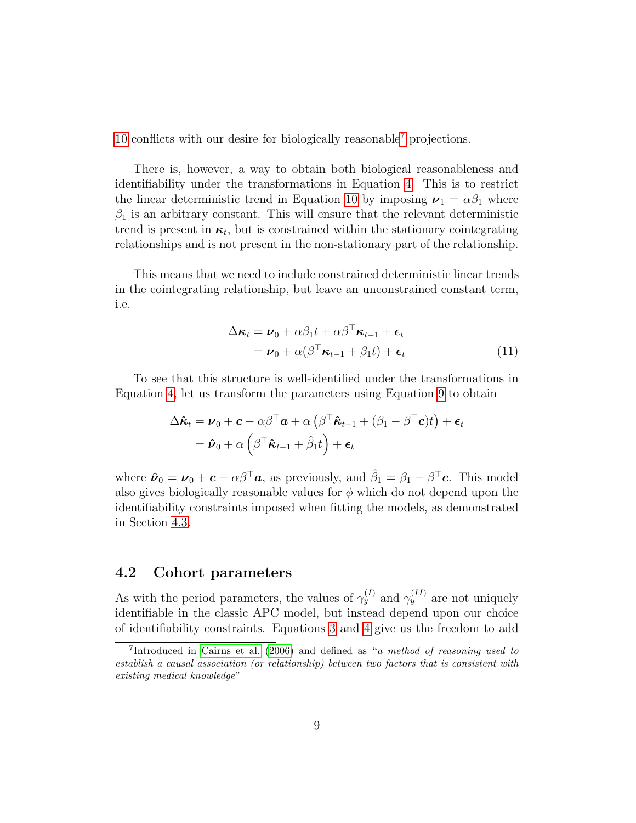[10](#page-8-0) conflicts with our desire for biologically reasonable[7](#page-9-0) projections.

There is, however, a way to obtain both biological reasonableness and identifiability under the transformations in Equation [4.](#page-4-2) This is to restrict the linear deterministic trend in Equation [10](#page-8-0) by imposing  $\nu_1 = \alpha \beta_1$  where  $\beta_1$  is an arbitrary constant. This will ensure that the relevant deterministic trend is present in  $\kappa_t$ , but is constrained within the stationary cointegrating relationships and is not present in the non-stationary part of the relationship.

This means that we need to include constrained deterministic linear trends in the cointegrating relationship, but leave an unconstrained constant term, i.e.

<span id="page-9-1"></span>
$$
\Delta \kappa_t = \nu_0 + \alpha \beta_1 t + \alpha \beta^\top \kappa_{t-1} + \epsilon_t
$$
  
=  $\nu_0 + \alpha (\beta^\top \kappa_{t-1} + \beta_1 t) + \epsilon_t$  (11)

To see that this structure is well-identified under the transformations in Equation [4,](#page-4-2) let us transform the parameters using Equation [9](#page-7-3) to obtain

$$
\Delta \hat{\boldsymbol{\kappa}}_t = \boldsymbol{\nu}_0 + \boldsymbol{c} - \alpha \beta^\top \boldsymbol{a} + \alpha \left( \beta^\top \hat{\boldsymbol{\kappa}}_{t-1} + (\beta_1 - \beta^\top \boldsymbol{c}) t \right) + \boldsymbol{\epsilon}_t
$$

$$
= \hat{\boldsymbol{\nu}}_0 + \alpha \left( \beta^\top \hat{\boldsymbol{\kappa}}_{t-1} + \hat{\beta}_1 t \right) + \boldsymbol{\epsilon}_t
$$

where  $\hat{\boldsymbol{\nu}}_0 = \boldsymbol{\nu}_0 + \boldsymbol{c} - \alpha \beta^{\top} \boldsymbol{a}$ , as previously, and  $\hat{\beta}_1 = \beta_1 - \beta^{\top} \boldsymbol{c}$ . This model also gives biologically reasonable values for  $\phi$  which do not depend upon the identifiability constraints imposed when fitting the models, as demonstrated in Section [4.3.](#page-10-0)

#### 4.2 Cohort parameters

As with the period parameters, the values of  $\gamma_y^{(I)}$  and  $\gamma_y^{(II)}$  are not uniquely identifiable in the classic APC model, but instead depend upon our choice of identifiability constraints. Equations [3](#page-4-1) and [4](#page-4-2) give us the freedom to add

<span id="page-9-0"></span><sup>&</sup>lt;sup>7</sup>Introduced in [Cairns et al.](#page-25-3) [\(2006\)](#page-25-3) and defined as "a method of reasoning used to establish a causal association (or relationship) between two factors that is consistent with existing medical knowledge"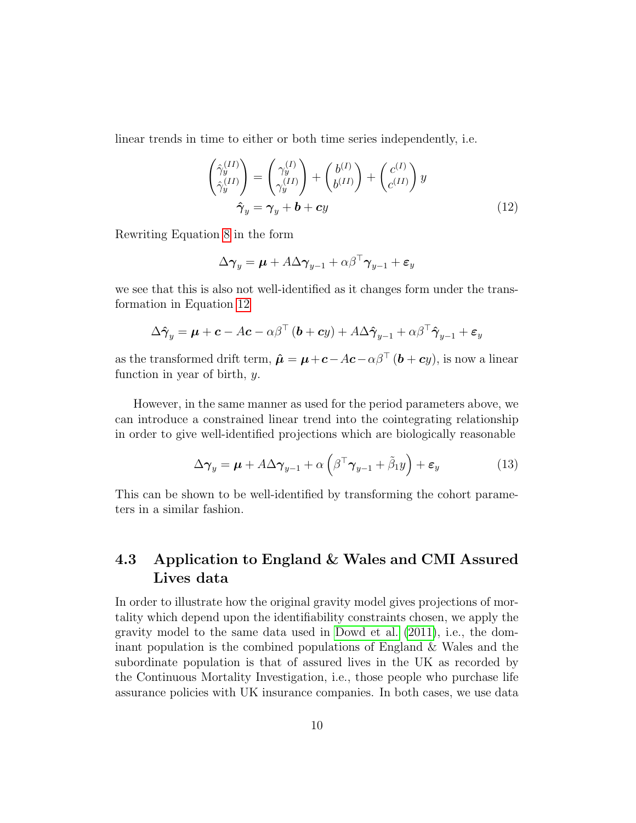linear trends in time to either or both time series independently, i.e.

$$
\begin{pmatrix}\n\hat{\gamma}_y^{(II)} \\
\hat{\gamma}_y^{(II)}\n\end{pmatrix} = \begin{pmatrix}\n\gamma_y^{(I)} \\
\gamma_y^{(II)}\n\end{pmatrix} + \begin{pmatrix}\nb^{(I)} \\
b^{(II)}\n\end{pmatrix} + \begin{pmatrix}\nc^{(I)} \\
c^{(II)}\n\end{pmatrix} y
$$
\n
$$
\hat{\gamma}_y = \gamma_y + \mathbf{b} + \mathbf{c}y
$$
\n(12)

Rewriting Equation [8](#page-7-2) in the form

<span id="page-10-1"></span>
$$
\Delta \boldsymbol{\gamma}_y = \boldsymbol{\mu} + A \Delta \boldsymbol{\gamma}_{y-1} + \alpha \beta^{\top} \boldsymbol{\gamma}_{y-1} + \boldsymbol{\varepsilon}_y
$$

we see that this is also not well-identified as it changes form under the transformation in Equation [12](#page-10-1)

$$
\Delta \hat{\boldsymbol{\gamma}}_y = \boldsymbol{\mu} + \boldsymbol{c} - A \boldsymbol{c} - \alpha \beta^{\top} (\boldsymbol{b} + \boldsymbol{c}y) + A \Delta \hat{\boldsymbol{\gamma}}_{y-1} + \alpha \beta^{\top} \hat{\boldsymbol{\gamma}}_{y-1} + \boldsymbol{\varepsilon}_y
$$

as the transformed drift term,  $\hat{\boldsymbol{\mu}} = \boldsymbol{\mu} + \boldsymbol{c} - A\boldsymbol{c} - \alpha \beta^{\top} (\boldsymbol{b} + \boldsymbol{c}y)$ , is now a linear function in year of birth, y.

However, in the same manner as used for the period parameters above, we can introduce a constrained linear trend into the cointegrating relationship in order to give well-identified projections which are biologically reasonable

$$
\Delta \boldsymbol{\gamma}_y = \boldsymbol{\mu} + A \Delta \boldsymbol{\gamma}_{y-1} + \alpha \left( \beta^{\top} \boldsymbol{\gamma}_{y-1} + \tilde{\beta}_1 y \right) + \boldsymbol{\varepsilon}_y \tag{13}
$$

This can be shown to be well-identified by transforming the cohort parameters in a similar fashion.

### <span id="page-10-0"></span>4.3 Application to England & Wales and CMI Assured Lives data

In order to illustrate how the original gravity model gives projections of mortality which depend upon the identifiability constraints chosen, we apply the gravity model to the same data used in [Dowd et al. \(2011\)](#page-25-0), i.e., the dominant population is the combined populations of England  $\&$  Wales and the subordinate population is that of assured lives in the UK as recorded by the Continuous Mortality Investigation, i.e., those people who purchase life assurance policies with UK insurance companies. In both cases, we use data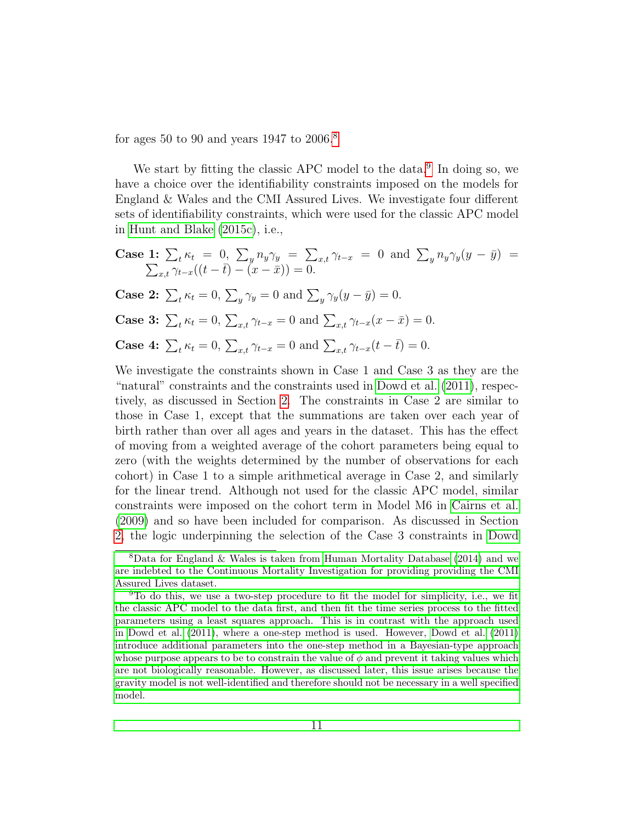for ages 50 to 90 and years  $1947$  to  $2006$ .<sup>[8](#page-11-0)</sup>

We start by fitting the classic APC model to the data.<sup>[9](#page-11-1)</sup> In doing so, we have a choice over the identifiability constraints imposed on the models for England & Wales and the CMI Assured Lives. We investigate four different sets of identifiability constraints, which were used for the classic APC model in [Hunt and Blake \(2015c\)](#page-26-1), i.e.,

Case 1: 
$$
\sum_{t} \kappa_t = 0
$$
,  $\sum_{y} n_y \gamma_y = \sum_{x,t} \gamma_{t-x} = 0$  and  $\sum_{y} n_y \gamma_y (y - \bar{y}) =$   
\n $\sum_{x,t} \gamma_{t-x} ((t - \bar{t}) - (x - \bar{x})) = 0$ .  
\nCase 2:  $\sum_{t} \kappa_t = 0$ ,  $\sum_{y} \gamma_y = 0$  and  $\sum_{y} \gamma_y (y - \bar{y}) = 0$ .  
\nCase 3:  $\sum_{t} \kappa_t = 0$ ,  $\sum_{x,t} \gamma_{t-x} = 0$  and  $\sum_{x,t} \gamma_{t-x} (x - \bar{x}) = 0$ .  
\nCase 4:  $\sum_{t} \kappa_t = 0$ ,  $\sum_{x,t} \gamma_{t-x} = 0$  and  $\sum_{x,t} \gamma_{t-x} (t - \bar{t}) = 0$ .

We investigate the constraints shown in Case 1 and Case 3 as they are the "natural" constraints and the constraints used in [Dowd et al. \(2011\)](#page-25-0), respectively, as discussed in Section [2.](#page-3-0) The constraints in Case 2 are similar to those in Case 1, except that the summations are taken over each year of birth rather than over all ages and years in the dataset. This has the effect of moving from a weighted average of the cohort parameters being equal to zero (with the weights determined by the number of observations for each cohort) in Case 1 to a simple arithmetical average in Case 2, and similarly for the linear trend. Although not used for the classic APC model, similar constraints were imposed on the cohort term in Model M6 in [Cairns et al.](#page-25-4) [\(2009\)](#page-25-4) and so have been included for comparison. As discussed in Section [2,](#page-3-0) the logic underpinning the selection of the Case 3 constraints in [Dowd](#page-25-0)

<span id="page-11-0"></span> ${}^8$ [Data for England & Wales is taken from Human Mortality Database \(2014\) and we](#page-25-0) [are indebted to the Continuous Mortality Investigation for providing providing the CMI](#page-25-0) [Assured Lives dataset.](#page-25-0)

<span id="page-11-1"></span><sup>9</sup>[To do this, we use a two-step procedure to fit the model for simplicity, i.e., we fit](#page-25-0) [the classic APC model to the data first, and then fit the time series process to the fitted](#page-25-0) [parameters using a least squares approach. This is in contrast with the approach used](#page-25-0) [in Dowd et al. \(2011\), where a one-step method is used. However, Dowd et al. \(2011\)](#page-25-0) [introduce additional parameters into the one-step method in a Bayesian-type approach](#page-25-0) [whose purpose appears to be to constrain the value of](#page-25-0)  $\phi$  and prevent it taking values which [are not biologically reasonable. However, as discussed later, this issue arises because the](#page-25-0) [gravity model is not well-identified and therefore should not be necessary in a well specified](#page-25-0) [model.](#page-25-0)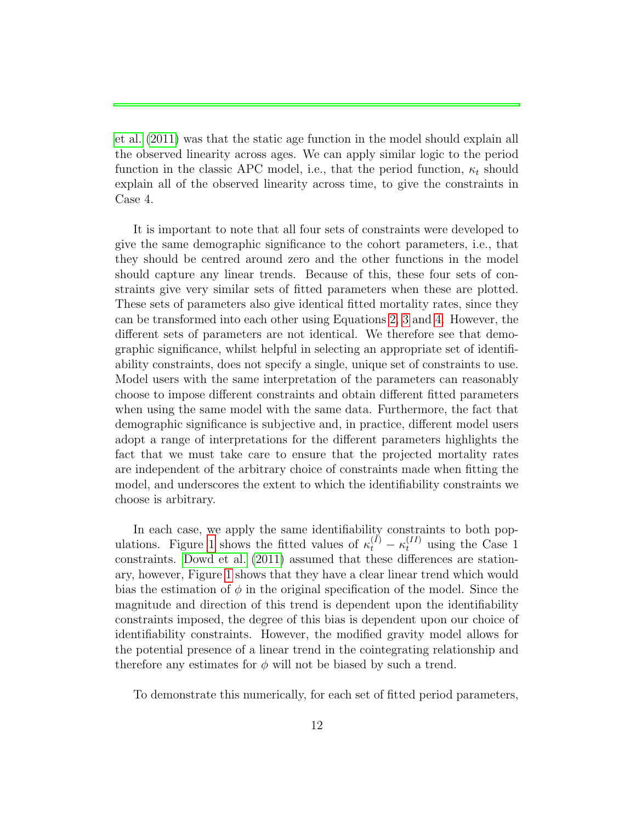[et al. \(2011\)](#page-25-0) was that the static age function in the model should explain all the observed linearity across ages. We can apply similar logic to the period function in the classic APC model, i.e., that the period function,  $\kappa_t$  should explain all of the observed linearity across time, to give the constraints in Case 4.

It is important to note that all four sets of constraints were developed to give the same demographic significance to the cohort parameters, i.e., that they should be centred around zero and the other functions in the model should capture any linear trends. Because of this, these four sets of constraints give very similar sets of fitted parameters when these are plotted. These sets of parameters also give identical fitted mortality rates, since they can be transformed into each other using Equations [2,](#page-4-0) [3](#page-4-1) and [4.](#page-4-2) However, the different sets of parameters are not identical. We therefore see that demographic significance, whilst helpful in selecting an appropriate set of identifiability constraints, does not specify a single, unique set of constraints to use. Model users with the same interpretation of the parameters can reasonably choose to impose different constraints and obtain different fitted parameters when using the same model with the same data. Furthermore, the fact that demographic significance is subjective and, in practice, different model users adopt a range of interpretations for the different parameters highlights the fact that we must take care to ensure that the projected mortality rates are independent of the arbitrary choice of constraints made when fitting the model, and underscores the extent to which the identifiability constraints we choose is arbitrary.

In each case, we apply the same identifiability constraints to both pop-ulations. Figure [1](#page-13-0) shows the fitted values of  $\kappa_t^{(I)} - \kappa_t^{(II)}$  using the Case 1 constraints. [Dowd et al. \(2011\)](#page-25-0) assumed that these differences are stationary, however, Figure [1](#page-13-0) shows that they have a clear linear trend which would bias the estimation of  $\phi$  in the original specification of the model. Since the magnitude and direction of this trend is dependent upon the identifiability constraints imposed, the degree of this bias is dependent upon our choice of identifiability constraints. However, the modified gravity model allows for the potential presence of a linear trend in the cointegrating relationship and therefore any estimates for  $\phi$  will not be biased by such a trend.

To demonstrate this numerically, for each set of fitted period parameters,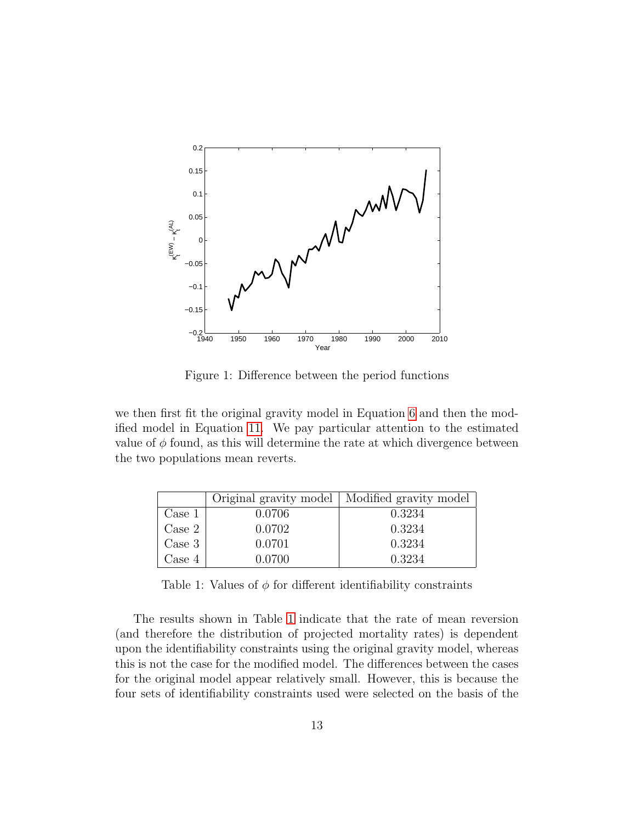<span id="page-13-0"></span>

Figure 1: Difference between the period functions

we then first fit the original gravity model in Equation [6](#page-6-0) and then the modified model in Equation [11.](#page-9-1) We pay particular attention to the estimated value of  $\phi$  found, as this will determine the rate at which divergence between the two populations mean reverts.

<span id="page-13-1"></span>

|        |        | Original gravity model   Modified gravity model |
|--------|--------|-------------------------------------------------|
| Case 1 | 0.0706 | 0.3234                                          |
| Case 2 | 0.0702 | 0.3234                                          |
| Case 3 | 0.0701 | 0.3234                                          |
| Case 4 | 0.0700 | 0.3234                                          |

Table 1: Values of  $\phi$  for different identifiability constraints

The results shown in Table [1](#page-13-1) indicate that the rate of mean reversion (and therefore the distribution of projected mortality rates) is dependent upon the identifiability constraints using the original gravity model, whereas this is not the case for the modified model. The differences between the cases for the original model appear relatively small. However, this is because the four sets of identifiability constraints used were selected on the basis of the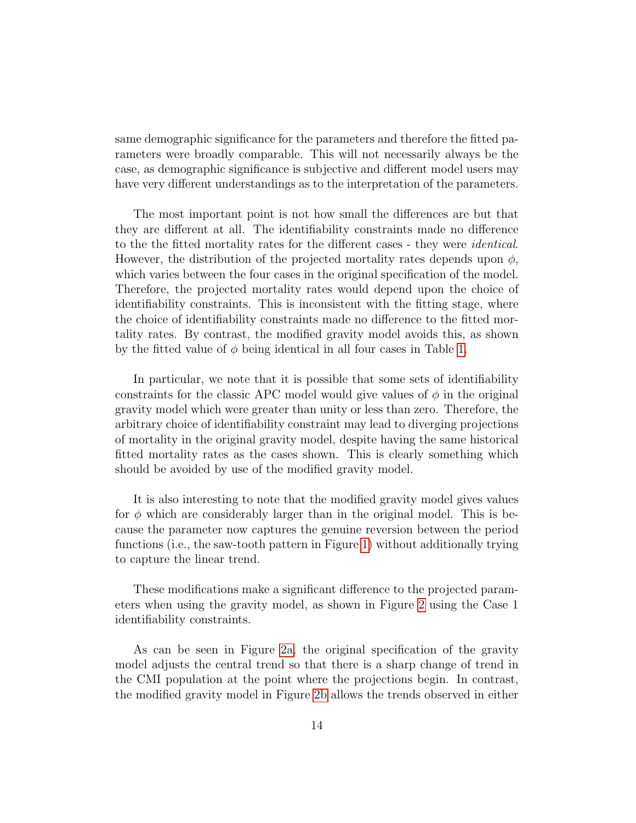same demographic significance for the parameters and therefore the fitted parameters were broadly comparable. This will not necessarily always be the case, as demographic significance is subjective and different model users may have very different understandings as to the interpretation of the parameters.

The most important point is not how small the differences are but that they are different at all. The identifiability constraints made no difference to the the fitted mortality rates for the different cases - they were identical. However, the distribution of the projected mortality rates depends upon  $\phi$ , which varies between the four cases in the original specification of the model. Therefore, the projected mortality rates would depend upon the choice of identifiability constraints. This is inconsistent with the fitting stage, where the choice of identifiability constraints made no difference to the fitted mortality rates. By contrast, the modified gravity model avoids this, as shown by the fitted value of  $\phi$  being identical in all four cases in Table [1.](#page-13-1)

In particular, we note that it is possible that some sets of identifiability constraints for the classic APC model would give values of  $\phi$  in the original gravity model which were greater than unity or less than zero. Therefore, the arbitrary choice of identifiability constraint may lead to diverging projections of mortality in the original gravity model, despite having the same historical fitted mortality rates as the cases shown. This is clearly something which should be avoided by use of the modified gravity model.

It is also interesting to note that the modified gravity model gives values for  $\phi$  which are considerably larger than in the original model. This is because the parameter now captures the genuine reversion between the period functions (i.e., the saw-tooth pattern in Figure [1\)](#page-13-0) without additionally trying to capture the linear trend.

These modifications make a significant difference to the projected parameters when using the gravity model, as shown in Figure [2](#page-15-0) using the Case 1 identifiability constraints.

As can be seen in Figure [2a,](#page-15-0) the original specification of the gravity model adjusts the central trend so that there is a sharp change of trend in the CMI population at the point where the projections begin. In contrast, the modified gravity model in Figure [2b](#page-15-0) allows the trends observed in either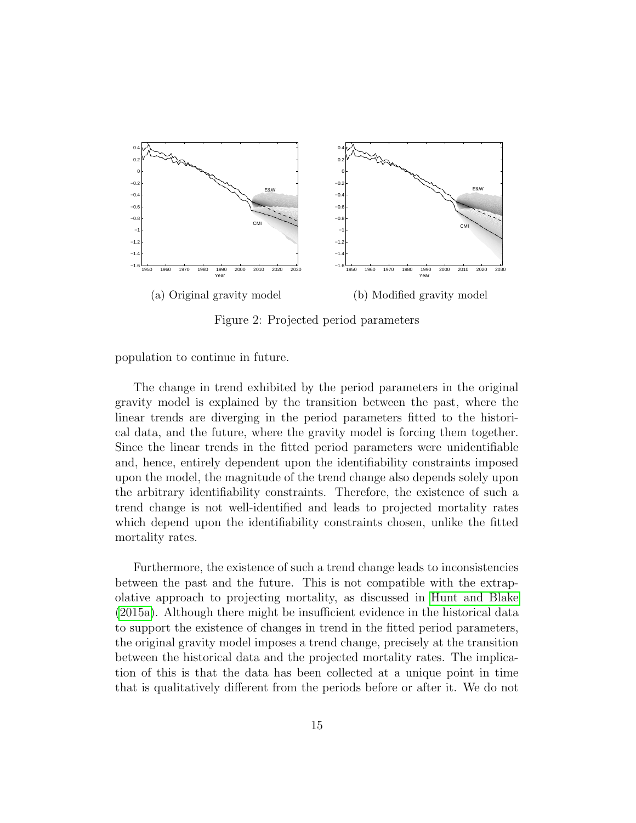<span id="page-15-0"></span>

Figure 2: Projected period parameters

population to continue in future.

The change in trend exhibited by the period parameters in the original gravity model is explained by the transition between the past, where the linear trends are diverging in the period parameters fitted to the historical data, and the future, where the gravity model is forcing them together. Since the linear trends in the fitted period parameters were unidentifiable and, hence, entirely dependent upon the identifiability constraints imposed upon the model, the magnitude of the trend change also depends solely upon the arbitrary identifiability constraints. Therefore, the existence of such a trend change is not well-identified and leads to projected mortality rates which depend upon the identifiability constraints chosen, unlike the fitted mortality rates.

Furthermore, the existence of such a trend change leads to inconsistencies between the past and the future. This is not compatible with the extrapolative approach to projecting mortality, as discussed in [Hunt and Blake](#page-26-6) [\(2015a\)](#page-26-6). Although there might be insufficient evidence in the historical data to support the existence of changes in trend in the fitted period parameters, the original gravity model imposes a trend change, precisely at the transition between the historical data and the projected mortality rates. The implication of this is that the data has been collected at a unique point in time that is qualitatively different from the periods before or after it. We do not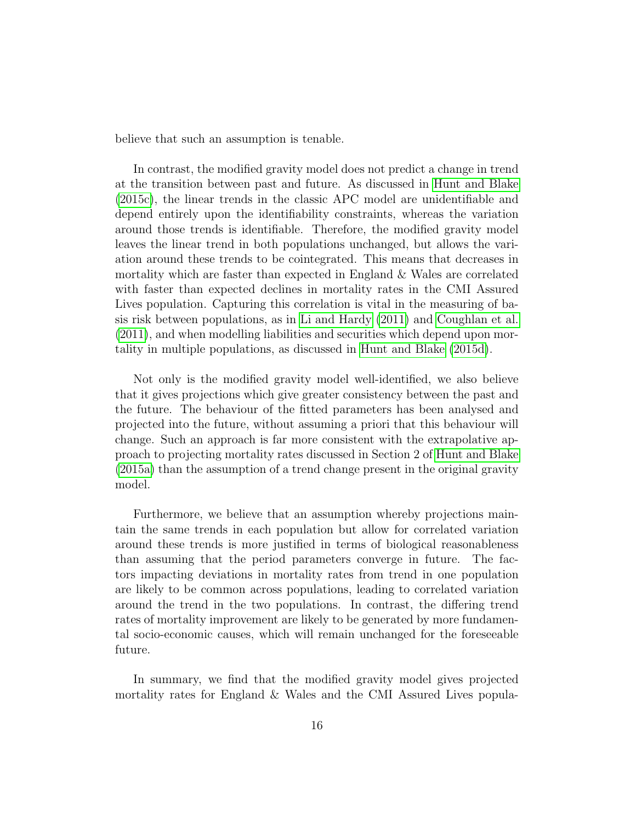believe that such an assumption is tenable.

In contrast, the modified gravity model does not predict a change in trend at the transition between past and future. As discussed in [Hunt and Blake](#page-26-1) [\(2015c\)](#page-26-1), the linear trends in the classic APC model are unidentifiable and depend entirely upon the identifiability constraints, whereas the variation around those trends is identifiable. Therefore, the modified gravity model leaves the linear trend in both populations unchanged, but allows the variation around these trends to be cointegrated. This means that decreases in mortality which are faster than expected in England & Wales are correlated with faster than expected declines in mortality rates in the CMI Assured Lives population. Capturing this correlation is vital in the measuring of basis risk between populations, as in [Li and Hardy \(2011\)](#page-26-4) and [Coughlan et al.](#page-25-5) [\(2011\)](#page-25-5), and when modelling liabilities and securities which depend upon mortality in multiple populations, as discussed in [Hunt and Blake \(2015d\)](#page-26-7).

Not only is the modified gravity model well-identified, we also believe that it gives projections which give greater consistency between the past and the future. The behaviour of the fitted parameters has been analysed and projected into the future, without assuming a priori that this behaviour will change. Such an approach is far more consistent with the extrapolative approach to projecting mortality rates discussed in Section 2 of [Hunt and Blake](#page-26-6) [\(2015a\)](#page-26-6) than the assumption of a trend change present in the original gravity model.

Furthermore, we believe that an assumption whereby projections maintain the same trends in each population but allow for correlated variation around these trends is more justified in terms of biological reasonableness than assuming that the period parameters converge in future. The factors impacting deviations in mortality rates from trend in one population are likely to be common across populations, leading to correlated variation around the trend in the two populations. In contrast, the differing trend rates of mortality improvement are likely to be generated by more fundamental socio-economic causes, which will remain unchanged for the foreseeable future.

In summary, we find that the modified gravity model gives projected mortality rates for England & Wales and the CMI Assured Lives popula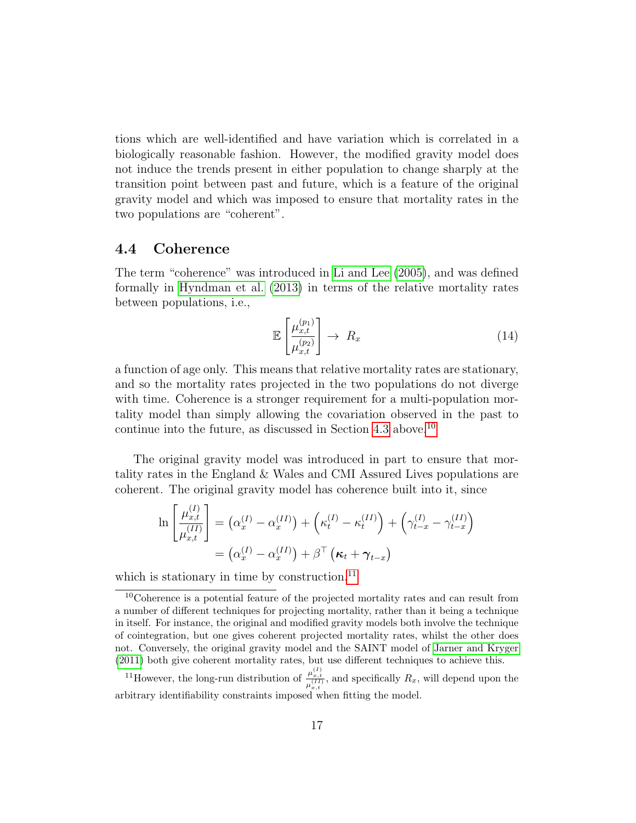tions which are well-identified and have variation which is correlated in a biologically reasonable fashion. However, the modified gravity model does not induce the trends present in either population to change sharply at the transition point between past and future, which is a feature of the original gravity model and which was imposed to ensure that mortality rates in the two populations are "coherent".

#### 4.4 Coherence

The term "coherence" was introduced in [Li and Lee \(2005\)](#page-27-2), and was defined formally in [Hyndman et al. \(2013\)](#page-26-8) in terms of the relative mortality rates between populations, i.e.,

$$
\mathbb{E}\left[\frac{\mu_{x,t}^{(p_1)}}{\mu_{x,t}^{(p_2)}}\right] \to R_x \tag{14}
$$

a function of age only. This means that relative mortality rates are stationary, and so the mortality rates projected in the two populations do not diverge with time. Coherence is a stronger requirement for a multi-population mortality model than simply allowing the covariation observed in the past to continue into the future, as discussed in Section [4.3](#page-10-0) above.<sup>[10](#page-17-0)</sup>

The original gravity model was introduced in part to ensure that mortality rates in the England & Wales and CMI Assured Lives populations are coherent. The original gravity model has coherence built into it, since

$$
\ln\left[\frac{\mu_{x,t}^{(I)}}{\mu_{x,t}^{(II)}}\right] = \left(\alpha_x^{(I)} - \alpha_x^{(II)}\right) + \left(\kappa_t^{(I)} - \kappa_t^{(II)}\right) + \left(\gamma_{t-x}^{(I)} - \gamma_{t-x}^{(II)}\right)
$$

$$
= \left(\alpha_x^{(I)} - \alpha_x^{(II)}\right) + \beta^\top \left(\kappa_t + \gamma_{t-x}\right)
$$

which is stationary in time by construction.<sup>[11](#page-17-1)</sup>

<span id="page-17-0"></span><sup>10</sup>Coherence is a potential feature of the projected mortality rates and can result from a number of different techniques for projecting mortality, rather than it being a technique in itself. For instance, the original and modified gravity models both involve the technique of cointegration, but one gives coherent projected mortality rates, whilst the other does not. Conversely, the original gravity model and the SAINT model of [Jarner and Kryger](#page-26-9) [\(2011\)](#page-26-9) both give coherent mortality rates, but use different techniques to achieve this.

<span id="page-17-1"></span><sup>&</sup>lt;sup>11</sup>However, the long-run distribution of  $\frac{\mu_{x,t}^{(I)}}{\mu_{x,t}^{(II)}}$ , and specifically  $R_x$ , will depend upon the arbitrary identifiability constraints imposed when fitting the model.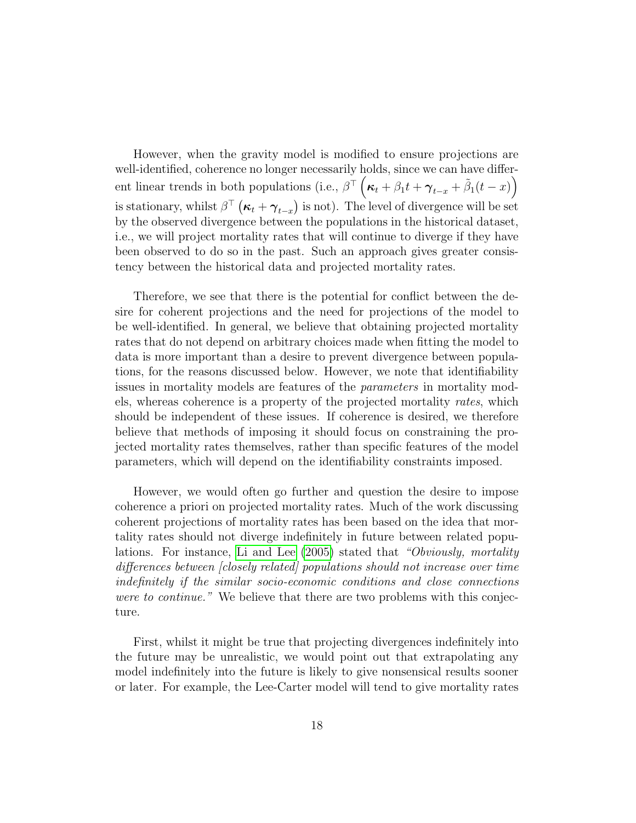However, when the gravity model is modified to ensure projections are well-identified, coherence no longer necessarily holds, since we can have different linear trends in both populations (i.e.,  $\beta^{\top} (\kappa_t + \beta_1 t + \gamma_{t-x} + \tilde{\beta}_1(t - x))$ is stationary, whilst  $\beta^{\top}$   $\left(\kappa_t + \gamma_{t-x}\right)$  is not). The level of divergence will be set by the observed divergence between the populations in the historical dataset, i.e., we will project mortality rates that will continue to diverge if they have been observed to do so in the past. Such an approach gives greater consistency between the historical data and projected mortality rates.

Therefore, we see that there is the potential for conflict between the desire for coherent projections and the need for projections of the model to be well-identified. In general, we believe that obtaining projected mortality rates that do not depend on arbitrary choices made when fitting the model to data is more important than a desire to prevent divergence between populations, for the reasons discussed below. However, we note that identifiability issues in mortality models are features of the parameters in mortality models, whereas coherence is a property of the projected mortality rates, which should be independent of these issues. If coherence is desired, we therefore believe that methods of imposing it should focus on constraining the projected mortality rates themselves, rather than specific features of the model parameters, which will depend on the identifiability constraints imposed.

However, we would often go further and question the desire to impose coherence a priori on projected mortality rates. Much of the work discussing coherent projections of mortality rates has been based on the idea that mortality rates should not diverge indefinitely in future between related populations. For instance, [Li and Lee \(2005\)](#page-27-2) stated that "Obviously, mortality differences between [closely related] populations should not increase over time indefinitely if the similar socio-economic conditions and close connections were to continue." We believe that there are two problems with this conjecture.

First, whilst it might be true that projecting divergences indefinitely into the future may be unrealistic, we would point out that extrapolating any model indefinitely into the future is likely to give nonsensical results sooner or later. For example, the Lee-Carter model will tend to give mortality rates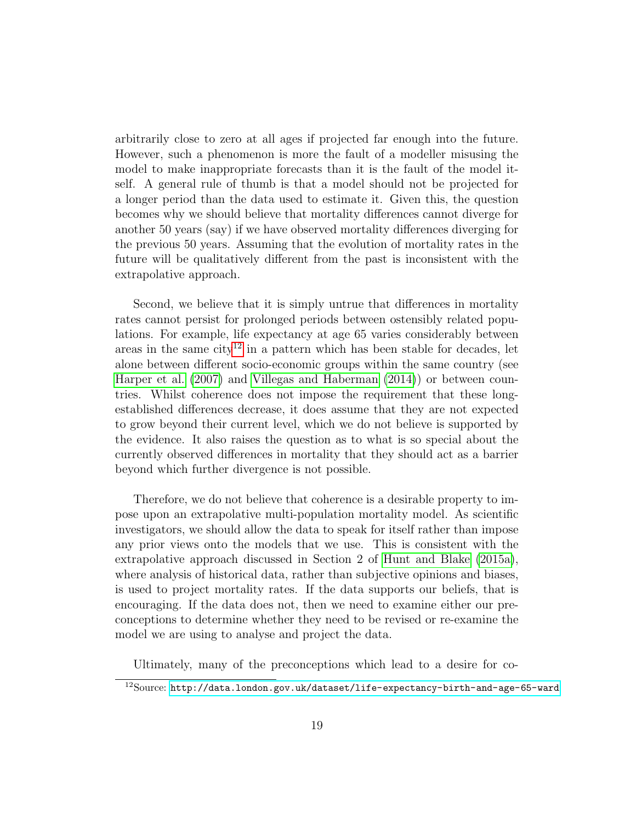arbitrarily close to zero at all ages if projected far enough into the future. However, such a phenomenon is more the fault of a modeller misusing the model to make inappropriate forecasts than it is the fault of the model itself. A general rule of thumb is that a model should not be projected for a longer period than the data used to estimate it. Given this, the question becomes why we should believe that mortality differences cannot diverge for another 50 years (say) if we have observed mortality differences diverging for the previous 50 years. Assuming that the evolution of mortality rates in the future will be qualitatively different from the past is inconsistent with the extrapolative approach.

Second, we believe that it is simply untrue that differences in mortality rates cannot persist for prolonged periods between ostensibly related populations. For example, life expectancy at age 65 varies considerably between areas in the same city<sup>[12](#page-19-0)</sup> in a pattern which has been stable for decades, let alone between different socio-economic groups within the same country (see [Harper et al. \(2007\)](#page-26-10) and [Villegas and Haberman \(2014\)](#page-27-3)) or between countries. Whilst coherence does not impose the requirement that these longestablished differences decrease, it does assume that they are not expected to grow beyond their current level, which we do not believe is supported by the evidence. It also raises the question as to what is so special about the currently observed differences in mortality that they should act as a barrier beyond which further divergence is not possible.

Therefore, we do not believe that coherence is a desirable property to impose upon an extrapolative multi-population mortality model. As scientific investigators, we should allow the data to speak for itself rather than impose any prior views onto the models that we use. This is consistent with the extrapolative approach discussed in Section 2 of [Hunt and Blake \(2015a\)](#page-26-6), where analysis of historical data, rather than subjective opinions and biases, is used to project mortality rates. If the data supports our beliefs, that is encouraging. If the data does not, then we need to examine either our preconceptions to determine whether they need to be revised or re-examine the model we are using to analyse and project the data.

Ultimately, many of the preconceptions which lead to a desire for co-

<span id="page-19-0"></span><sup>12</sup>Source: <http://data.london.gov.uk/dataset/life-expectancy-birth-and-age-65-ward>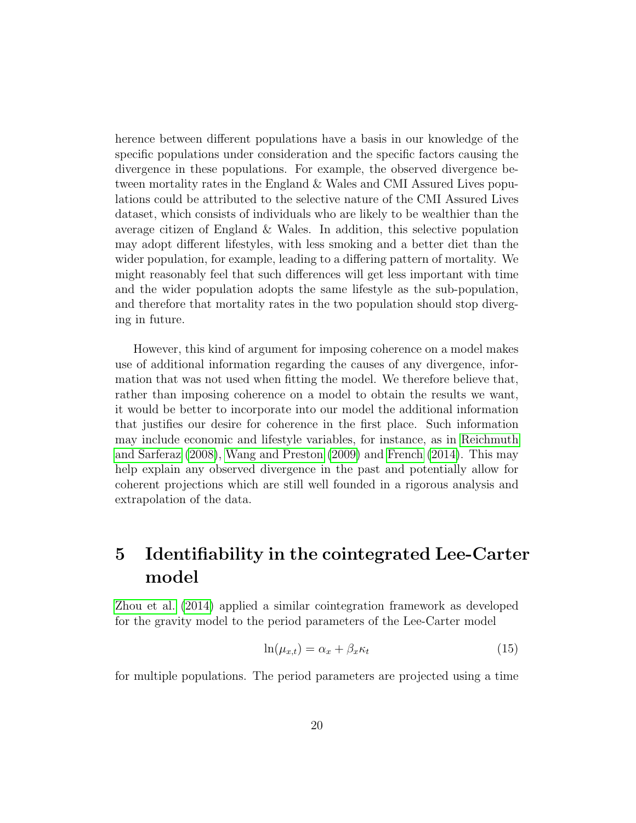herence between different populations have a basis in our knowledge of the specific populations under consideration and the specific factors causing the divergence in these populations. For example, the observed divergence between mortality rates in the England & Wales and CMI Assured Lives populations could be attributed to the selective nature of the CMI Assured Lives dataset, which consists of individuals who are likely to be wealthier than the average citizen of England & Wales. In addition, this selective population may adopt different lifestyles, with less smoking and a better diet than the wider population, for example, leading to a differing pattern of mortality. We might reasonably feel that such differences will get less important with time and the wider population adopts the same lifestyle as the sub-population, and therefore that mortality rates in the two population should stop diverging in future.

However, this kind of argument for imposing coherence on a model makes use of additional information regarding the causes of any divergence, information that was not used when fitting the model. We therefore believe that, rather than imposing coherence on a model to obtain the results we want, it would be better to incorporate into our model the additional information that justifies our desire for coherence in the first place. Such information may include economic and lifestyle variables, for instance, as in [Reichmuth](#page-27-4) [and Sarferaz \(2008\)](#page-27-4), [Wang and Preston \(2009\)](#page-27-5) and [French \(2014\)](#page-26-11). This may help explain any observed divergence in the past and potentially allow for coherent projections which are still well founded in a rigorous analysis and extrapolation of the data.

## <span id="page-20-0"></span>5 Identifiability in the cointegrated Lee-Carter model

[Zhou et al. \(2014\)](#page-27-0) applied a similar cointegration framework as developed for the gravity model to the period parameters of the Lee-Carter model

$$
\ln(\mu_{x,t}) = \alpha_x + \beta_x \kappa_t \tag{15}
$$

for multiple populations. The period parameters are projected using a time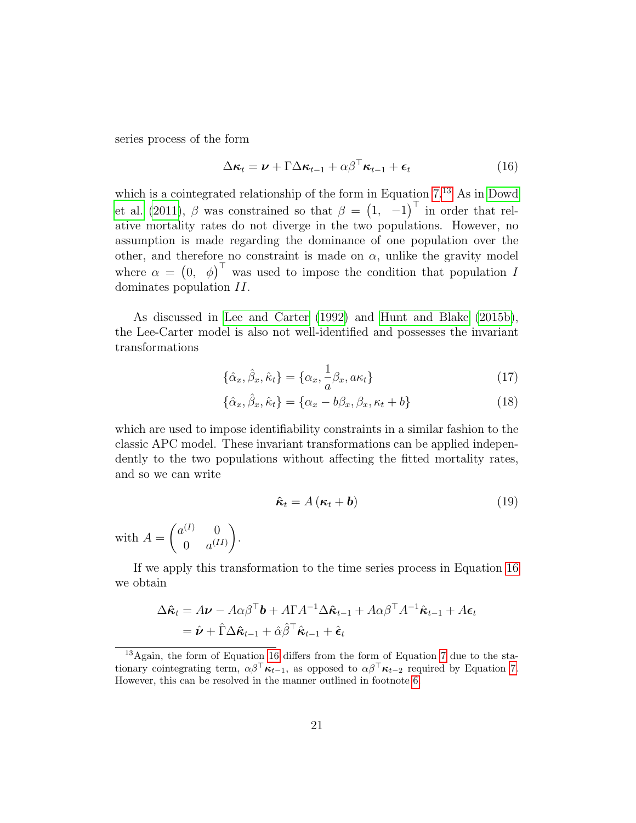series process of the form

<span id="page-21-1"></span>
$$
\Delta \kappa_t = \boldsymbol{\nu} + \Gamma \Delta \kappa_{t-1} + \alpha \beta^{\top} \kappa_{t-1} + \boldsymbol{\epsilon}_t \tag{16}
$$

which is a cointegrated relationship of the form in Equation  $7^{13}$  $7^{13}$  $7^{13}$  As in [Dowd](#page-25-0) [et al. \(2011\)](#page-25-0),  $\beta$  was constrained so that  $\beta = \begin{pmatrix} 1, & -1 \end{pmatrix}^T$  in order that relative mortality rates do not diverge in the two populations. However, no assumption is made regarding the dominance of one population over the other, and therefore no constraint is made on  $\alpha$ , unlike the gravity model where  $\alpha = \begin{pmatrix} 0, & \phi \end{pmatrix}^T$  was used to impose the condition that population I dominates population II.

As discussed in [Lee and Carter \(1992\)](#page-26-2) and [Hunt and Blake \(2015b\)](#page-26-0), the Lee-Carter model is also not well-identified and possesses the invariant transformations

$$
\{\hat{\alpha}_x, \hat{\beta}_x, \hat{\kappa}_t\} = \{\alpha_x, \frac{1}{a}\beta_x, a\kappa_t\} \tag{17}
$$

$$
\{\hat{\alpha}_x, \hat{\beta}_x, \hat{\kappa}_t\} = \{\alpha_x - b\beta_x, \beta_x, \kappa_t + b\}
$$
\n(18)

which are used to impose identifiability constraints in a similar fashion to the classic APC model. These invariant transformations can be applied independently to the two populations without affecting the fitted mortality rates, and so we can write

$$
\hat{\boldsymbol{\kappa}}_t = A\left(\boldsymbol{\kappa}_t + \boldsymbol{b}\right) \tag{19}
$$

with  $A =$  $\int a^{(I)}$  0  $0 \quad a^{(II)}$  $\setminus$ .

If we apply this transformation to the time series process in Equation [16](#page-21-1) we obtain

$$
\Delta \hat{\kappa}_t = A \nu - A \alpha \beta^{\top} \mathbf{b} + A \Gamma A^{-1} \Delta \hat{\kappa}_{t-1} + A \alpha \beta^{\top} A^{-1} \hat{\kappa}_{t-1} + A \epsilon_t
$$

$$
= \hat{\nu} + \hat{\Gamma} \Delta \hat{\kappa}_{t-1} + \hat{\alpha} \hat{\beta}^{\top} \hat{\kappa}_{t-1} + \hat{\epsilon}_t
$$

<span id="page-21-0"></span> $13\text{Again}$ , the form of Equation [16](#page-21-1) differs from the form of Equation [7](#page-6-1) due to the stationary cointegrating term,  $\alpha \beta^{\top} \kappa_{t-1}$ , as opposed to  $\alpha \beta^{\top} \kappa_{t-2}$  required by Equation [7.](#page-6-1) However, this can be resolved in the manner outlined in footnote [6.](#page-7-1)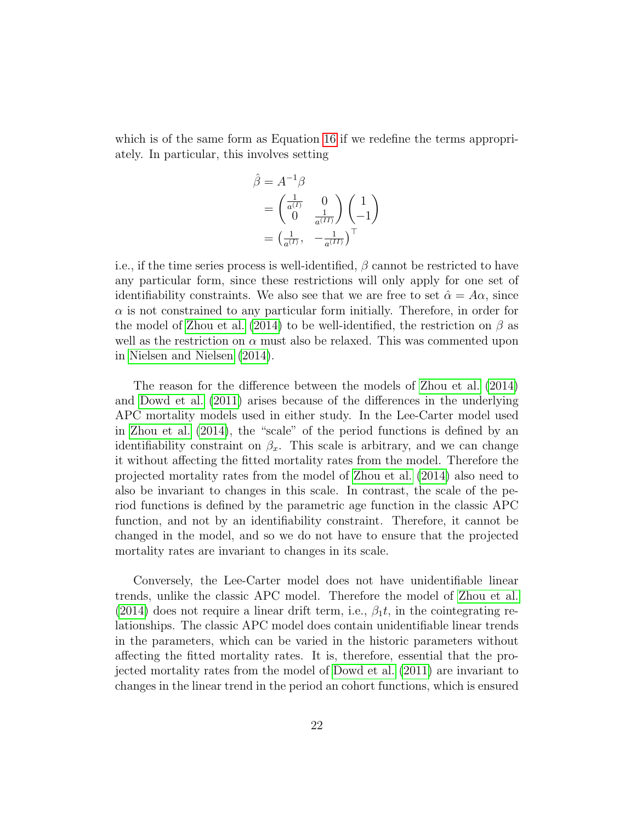which is of the same form as Equation [16](#page-21-1) if we redefine the terms appropriately. In particular, this involves setting

$$
\hat{\beta} = A^{-1}\beta
$$
  
=  $\begin{pmatrix} \frac{1}{a^{(I)}} & 0 \\ 0 & \frac{1}{a^{(II)}} \end{pmatrix} \begin{pmatrix} 1 \\ -1 \end{pmatrix}$   
=  $\begin{pmatrix} \frac{1}{a^{(I)}}, & -\frac{1}{a^{(II)}} \end{pmatrix}^{\top}$ 

i.e., if the time series process is well-identified,  $\beta$  cannot be restricted to have any particular form, since these restrictions will only apply for one set of identifiability constraints. We also see that we are free to set  $\hat{\alpha} = A\alpha$ , since  $\alpha$  is not constrained to any particular form initially. Therefore, in order for the model of [Zhou et al. \(2014\)](#page-27-0) to be well-identified, the restriction on  $\beta$  as well as the restriction on  $\alpha$  must also be relaxed. This was commented upon in [Nielsen and Nielsen \(2014\)](#page-27-6).

The reason for the difference between the models of [Zhou et al. \(2014\)](#page-27-0) and [Dowd et al. \(2011\)](#page-25-0) arises because of the differences in the underlying APC mortality models used in either study. In the Lee-Carter model used in [Zhou et al. \(2014\)](#page-27-0), the "scale" of the period functions is defined by an identifiability constraint on  $\beta_x$ . This scale is arbitrary, and we can change it without affecting the fitted mortality rates from the model. Therefore the projected mortality rates from the model of [Zhou et al. \(2014\)](#page-27-0) also need to also be invariant to changes in this scale. In contrast, the scale of the period functions is defined by the parametric age function in the classic APC function, and not by an identifiability constraint. Therefore, it cannot be changed in the model, and so we do not have to ensure that the projected mortality rates are invariant to changes in its scale.

Conversely, the Lee-Carter model does not have unidentifiable linear trends, unlike the classic APC model. Therefore the model of [Zhou et al.](#page-27-0) [\(2014\)](#page-27-0) does not require a linear drift term, i.e.,  $\beta_1 t$ , in the cointegrating relationships. The classic APC model does contain unidentifiable linear trends in the parameters, which can be varied in the historic parameters without affecting the fitted mortality rates. It is, therefore, essential that the projected mortality rates from the model of [Dowd et al. \(2011\)](#page-25-0) are invariant to changes in the linear trend in the period an cohort functions, which is ensured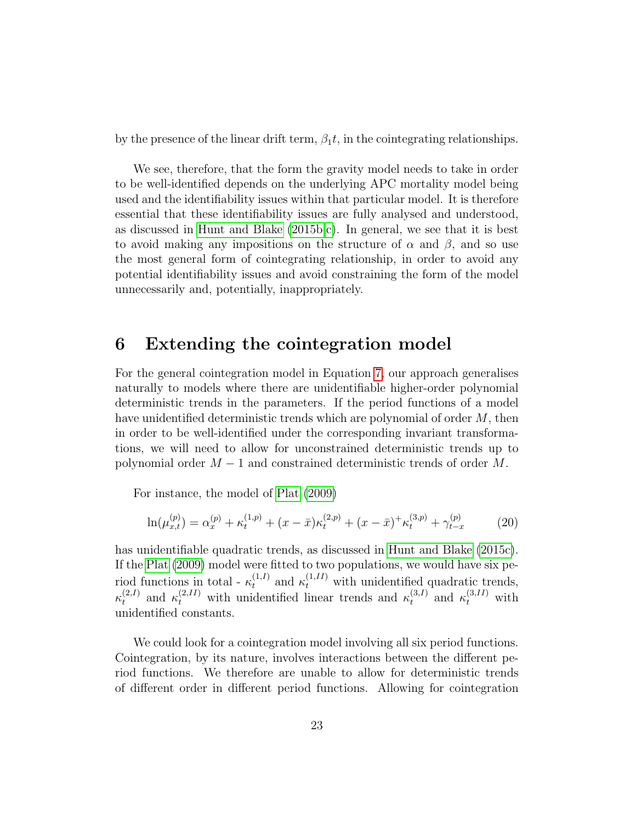by the presence of the linear drift term,  $\beta_1 t$ , in the cointegrating relationships.

We see, therefore, that the form the gravity model needs to take in order to be well-identified depends on the underlying APC mortality model being used and the identifiability issues within that particular model. It is therefore essential that these identifiability issues are fully analysed and understood, as discussed in [Hunt and Blake \(2015b,](#page-26-0)[c\)](#page-26-1). In general, we see that it is best to avoid making any impositions on the structure of  $\alpha$  and  $\beta$ , and so use the most general form of cointegrating relationship, in order to avoid any potential identifiability issues and avoid constraining the form of the model unnecessarily and, potentially, inappropriately.

## <span id="page-23-0"></span>6 Extending the cointegration model

For the general cointegration model in Equation [7,](#page-6-1) our approach generalises naturally to models where there are unidentifiable higher-order polynomial deterministic trends in the parameters. If the period functions of a model have unidentified deterministic trends which are polynomial of order  $M$ , then in order to be well-identified under the corresponding invariant transformations, we will need to allow for unconstrained deterministic trends up to polynomial order  $M-1$  and constrained deterministic trends of order M.

For instance, the model of [Plat \(2009\)](#page-27-7)

$$
\ln(\mu_{x,t}^{(p)}) = \alpha_x^{(p)} + \kappa_t^{(1,p)} + (x - \bar{x})\kappa_t^{(2,p)} + (x - \bar{x})^+ \kappa_t^{(3,p)} + \gamma_{t-x}^{(p)} \tag{20}
$$

has unidentifiable quadratic trends, as discussed in [Hunt and Blake \(2015c\)](#page-26-1). If the [Plat \(2009\)](#page-27-7) model were fitted to two populations, we would have six period functions in total -  $\kappa_t^{(1,I)}$  and  $\kappa_t^{(1,II)}$  with unidentified quadratic trends,  $\kappa_t^{(2,I)}$  and  $\kappa_t^{(2,II)}$  with unidentified linear trends and  $\kappa_t^{(3,I)}$  and  $\kappa_t^{(3,II)}$  with unidentified constants.

We could look for a cointegration model involving all six period functions. Cointegration, by its nature, involves interactions between the different period functions. We therefore are unable to allow for deterministic trends of different order in different period functions. Allowing for cointegration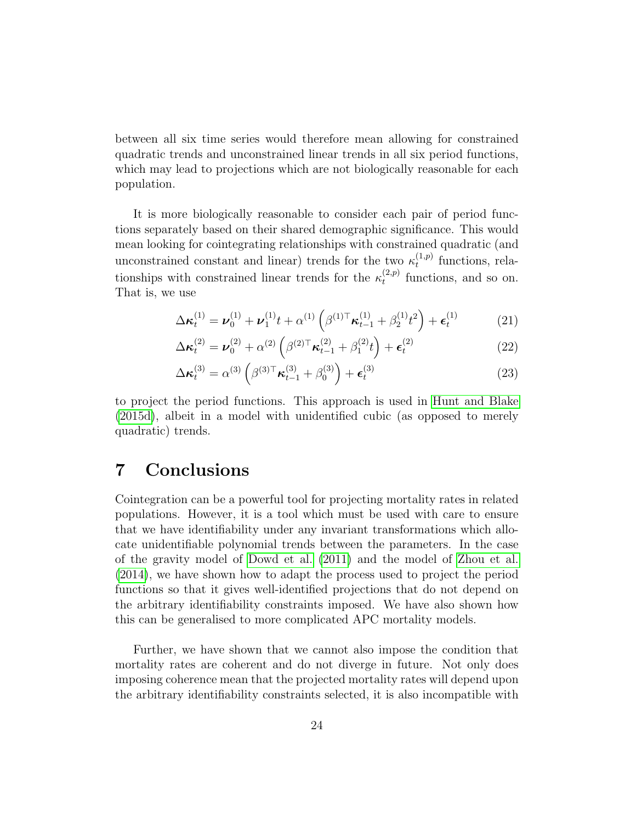between all six time series would therefore mean allowing for constrained quadratic trends and unconstrained linear trends in all six period functions, which may lead to projections which are not biologically reasonable for each population.

It is more biologically reasonable to consider each pair of period functions separately based on their shared demographic significance. This would mean looking for cointegrating relationships with constrained quadratic (and unconstrained constant and linear) trends for the two  $\kappa_t^{(1,p)}$  $t^{(1,p)}$  functions, relationships with constrained linear trends for the  $\kappa_t^{(2,p)}$  $t^{(2,p)}$  functions, and so on. That is, we use

$$
\Delta \kappa_t^{(1)} = \nu_0^{(1)} + \nu_1^{(1)} t + \alpha^{(1)} \left( \beta^{(1)\top} \kappa_{t-1}^{(1)} + \beta_2^{(1)} t^2 \right) + \epsilon_t^{(1)} \tag{21}
$$

$$
\Delta \kappa_t^{(2)} = \nu_0^{(2)} + \alpha^{(2)} \left( \beta^{(2)\top} \kappa_{t-1}^{(2)} + \beta_1^{(2)} t \right) + \epsilon_t^{(2)} \tag{22}
$$

$$
\Delta \boldsymbol{\kappa}_t^{(3)} = \alpha^{(3)} \left( \beta^{(3)\top} \boldsymbol{\kappa}_{t-1}^{(3)} + \beta_0^{(3)} \right) + \boldsymbol{\epsilon}_t^{(3)}
$$
(23)

to project the period functions. This approach is used in [Hunt and Blake](#page-26-7) [\(2015d\)](#page-26-7), albeit in a model with unidentified cubic (as opposed to merely quadratic) trends.

### <span id="page-24-0"></span>7 Conclusions

Cointegration can be a powerful tool for projecting mortality rates in related populations. However, it is a tool which must be used with care to ensure that we have identifiability under any invariant transformations which allocate unidentifiable polynomial trends between the parameters. In the case of the gravity model of [Dowd et al. \(2011\)](#page-25-0) and the model of [Zhou et al.](#page-27-0) [\(2014\)](#page-27-0), we have shown how to adapt the process used to project the period functions so that it gives well-identified projections that do not depend on the arbitrary identifiability constraints imposed. We have also shown how this can be generalised to more complicated APC mortality models.

Further, we have shown that we cannot also impose the condition that mortality rates are coherent and do not diverge in future. Not only does imposing coherence mean that the projected mortality rates will depend upon the arbitrary identifiability constraints selected, it is also incompatible with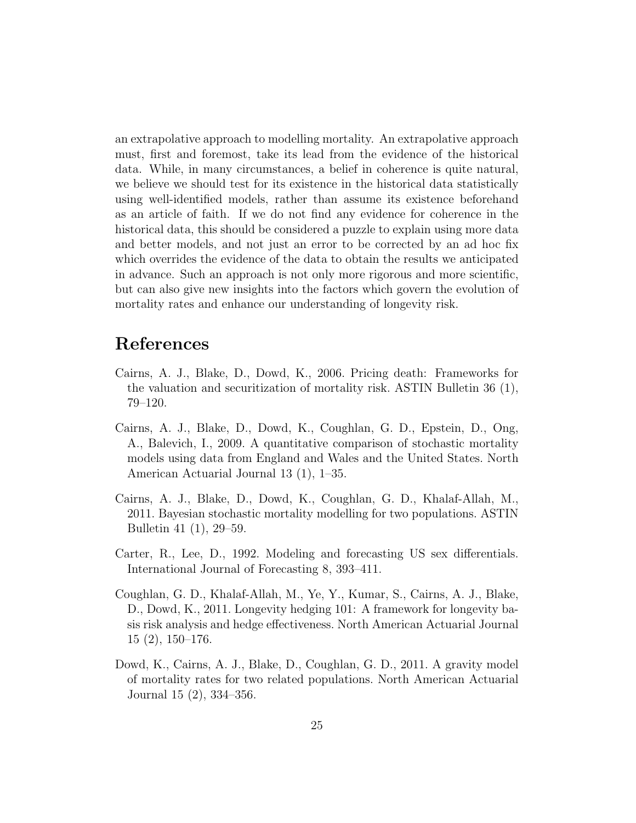an extrapolative approach to modelling mortality. An extrapolative approach must, first and foremost, take its lead from the evidence of the historical data. While, in many circumstances, a belief in coherence is quite natural, we believe we should test for its existence in the historical data statistically using well-identified models, rather than assume its existence beforehand as an article of faith. If we do not find any evidence for coherence in the historical data, this should be considered a puzzle to explain using more data and better models, and not just an error to be corrected by an ad hoc fix which overrides the evidence of the data to obtain the results we anticipated in advance. Such an approach is not only more rigorous and more scientific, but can also give new insights into the factors which govern the evolution of mortality rates and enhance our understanding of longevity risk.

## References

- <span id="page-25-3"></span>Cairns, A. J., Blake, D., Dowd, K., 2006. Pricing death: Frameworks for the valuation and securitization of mortality risk. ASTIN Bulletin 36 (1), 79–120.
- <span id="page-25-4"></span>Cairns, A. J., Blake, D., Dowd, K., Coughlan, G. D., Epstein, D., Ong, A., Balevich, I., 2009. A quantitative comparison of stochastic mortality models using data from England and Wales and the United States. North American Actuarial Journal 13 (1), 1–35.
- <span id="page-25-1"></span>Cairns, A. J., Blake, D., Dowd, K., Coughlan, G. D., Khalaf-Allah, M., 2011. Bayesian stochastic mortality modelling for two populations. ASTIN Bulletin 41 (1), 29–59.
- <span id="page-25-2"></span>Carter, R., Lee, D., 1992. Modeling and forecasting US sex differentials. International Journal of Forecasting 8, 393–411.
- <span id="page-25-5"></span>Coughlan, G. D., Khalaf-Allah, M., Ye, Y., Kumar, S., Cairns, A. J., Blake, D., Dowd, K., 2011. Longevity hedging 101: A framework for longevity basis risk analysis and hedge effectiveness. North American Actuarial Journal 15 (2), 150–176.
- <span id="page-25-0"></span>Dowd, K., Cairns, A. J., Blake, D., Coughlan, G. D., 2011. A gravity model of mortality rates for two related populations. North American Actuarial Journal 15 (2), 334–356.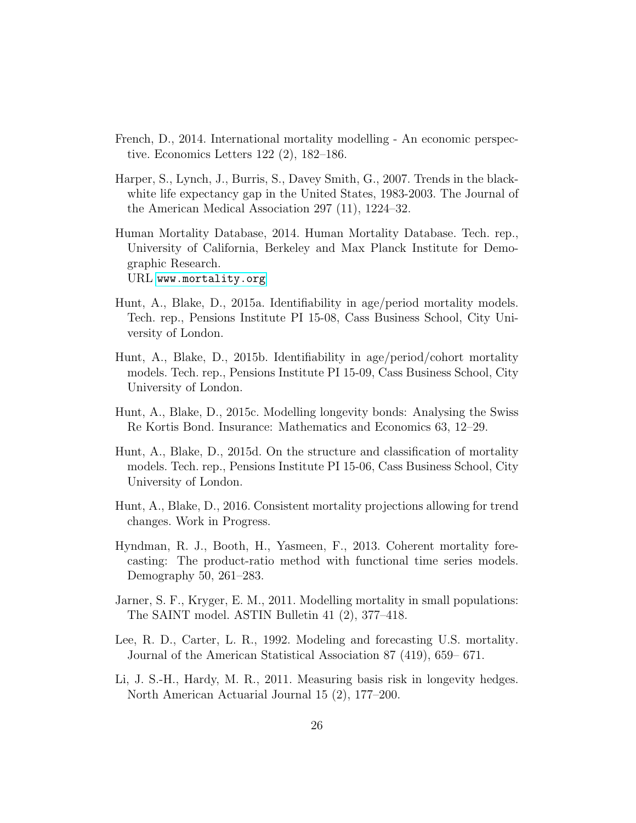- <span id="page-26-11"></span>French, D., 2014. International mortality modelling - An economic perspective. Economics Letters 122 (2), 182–186.
- <span id="page-26-10"></span>Harper, S., Lynch, J., Burris, S., Davey Smith, G., 2007. Trends in the blackwhite life expectancy gap in the United States, 1983-2003. The Journal of the American Medical Association 297 (11), 1224–32.
- <span id="page-26-5"></span>Human Mortality Database, 2014. Human Mortality Database. Tech. rep., University of California, Berkeley and Max Planck Institute for Demographic Research. URL <www.mortality.org>
- <span id="page-26-0"></span>Hunt, A., Blake, D., 2015a. Identifiability in age/period mortality models. Tech. rep., Pensions Institute PI 15-08, Cass Business School, City University of London.
- <span id="page-26-1"></span>Hunt, A., Blake, D., 2015b. Identifiability in age/period/cohort mortality models. Tech. rep., Pensions Institute PI 15-09, Cass Business School, City University of London.
- <span id="page-26-7"></span>Hunt, A., Blake, D., 2015c. Modelling longevity bonds: Analysing the Swiss Re Kortis Bond. Insurance: Mathematics and Economics 63, 12–29.
- <span id="page-26-3"></span>Hunt, A., Blake, D., 2015d. On the structure and classification of mortality models. Tech. rep., Pensions Institute PI 15-06, Cass Business School, City University of London.
- <span id="page-26-6"></span>Hunt, A., Blake, D., 2016. Consistent mortality projections allowing for trend changes. Work in Progress.
- <span id="page-26-8"></span>Hyndman, R. J., Booth, H., Yasmeen, F., 2013. Coherent mortality forecasting: The product-ratio method with functional time series models. Demography 50, 261–283.
- <span id="page-26-9"></span>Jarner, S. F., Kryger, E. M., 2011. Modelling mortality in small populations: The SAINT model. ASTIN Bulletin 41 (2), 377–418.
- <span id="page-26-2"></span>Lee, R. D., Carter, L. R., 1992. Modeling and forecasting U.S. mortality. Journal of the American Statistical Association 87 (419), 659– 671.
- <span id="page-26-4"></span>Li, J. S.-H., Hardy, M. R., 2011. Measuring basis risk in longevity hedges. North American Actuarial Journal 15 (2), 177–200.